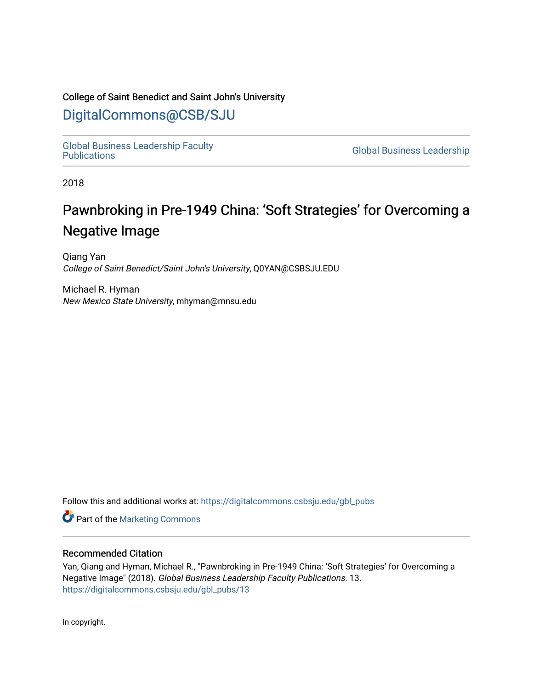# College of Saint Benedict and Saint John's University

# [DigitalCommons@CSB/SJU](https://digitalcommons.csbsju.edu/)

[Global Business Leadership Faculty](https://digitalcommons.csbsju.edu/gbl_pubs)

**Global Business Leadership** 

2018

# Pawnbroking in Pre-1949 China: 'Soft Strategies' for Overcoming a Negative Image

Qiang Yan College of Saint Benedict/Saint John's University, Q0YAN@CSBSJU.EDU

Michael R. Hyman New Mexico State University, mhyman@mnsu.edu

Follow this and additional works at: [https://digitalcommons.csbsju.edu/gbl\\_pubs](https://digitalcommons.csbsju.edu/gbl_pubs?utm_source=digitalcommons.csbsju.edu%2Fgbl_pubs%2F13&utm_medium=PDF&utm_campaign=PDFCoverPages)

**Part of the [Marketing Commons](https://network.bepress.com/hgg/discipline/638?utm_source=digitalcommons.csbsju.edu%2Fgbl_pubs%2F13&utm_medium=PDF&utm_campaign=PDFCoverPages)** 

# Recommended Citation

Yan, Qiang and Hyman, Michael R., "Pawnbroking in Pre-1949 China: 'Soft Strategies' for Overcoming a Negative Image" (2018). Global Business Leadership Faculty Publications. 13. [https://digitalcommons.csbsju.edu/gbl\\_pubs/13](https://digitalcommons.csbsju.edu/gbl_pubs/13?utm_source=digitalcommons.csbsju.edu%2Fgbl_pubs%2F13&utm_medium=PDF&utm_campaign=PDFCoverPages) 

In copyright.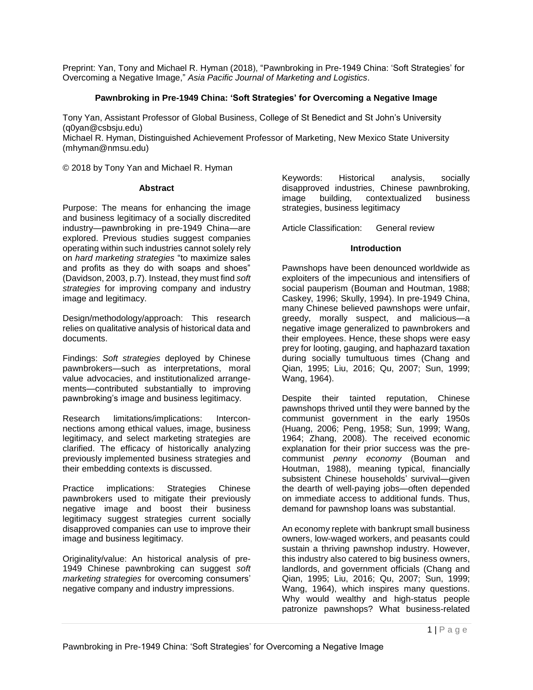Preprint: Yan, Tony and Michael R. Hyman (2018), "Pawnbroking in Pre-1949 China: 'Soft Strategies' for Overcoming a Negative Image," *Asia Pacific Journal of Marketing and Logistics*.

### **Pawnbroking in Pre-1949 China: 'Soft Strategies' for Overcoming a Negative Image**

Tony Yan, Assistant Professor of Global Business, College of St Benedict and St John's University [\(q0yan@csbsju.edu\)](mailto:q0yan@csbsju.edu)

Michael R. Hyman, Distinguished Achievement Professor of Marketing, New Mexico State University [\(mhyman@nmsu.edu\)](mailto:mhyman@nmsu.edu)

© 2018 by Tony Yan and Michael R. Hyman

#### **Abstract**

Purpose: The means for enhancing the image and business legitimacy of a socially discredited industry—pawnbroking in pre-1949 China—are explored. Previous studies suggest companies operating within such industries cannot solely rely on *hard marketing strategies* "to maximize sales and profits as they do with soaps and shoes" (Davidson, 2003, p.7). Instead, they must find *soft strategies* for improving company and industry image and legitimacy.

Design/methodology/approach: This research relies on qualitative analysis of historical data and documents.

Findings: *Soft strategies* deployed by Chinese pawnbrokers—such as interpretations, moral value advocacies, and institutionalized arrangements—contributed substantially to improving pawnbroking's image and business legitimacy.

Research limitations/implications: Interconnections among ethical values, image, business legitimacy, and select marketing strategies are clarified. The efficacy of historically analyzing previously implemented business strategies and their embedding contexts is discussed.

Practice implications: Strategies Chinese pawnbrokers used to mitigate their previously negative image and boost their business legitimacy suggest strategies current socially disapproved companies can use to improve their image and business legitimacy.

Originality/value: An historical analysis of pre-1949 Chinese pawnbroking can suggest *soft marketing strategies* for overcoming consumers' negative company and industry impressions.

Keywords: Historical analysis, socially disapproved industries, Chinese pawnbroking, image building, contextualized business strategies, business legitimacy

Article Classification: General review

#### **Introduction**

Pawnshops have been denounced worldwide as exploiters of the impecunious and intensifiers of social pauperism (Bouman and Houtman, 1988; Caskey, 1996; Skully, 1994). In pre-1949 China, many Chinese believed pawnshops were unfair, greedy, morally suspect, and malicious—a negative image generalized to pawnbrokers and their employees. Hence, these shops were easy prey for looting, gauging, and haphazard taxation during socially tumultuous times (Chang and Qian, 1995; Liu, 2016; Qu, 2007; Sun, 1999; Wang, 1964).

Despite their tainted reputation, Chinese pawnshops thrived until they were banned by the communist government in the early 1950s (Huang, 2006; Peng, 1958; Sun, 1999; Wang, 1964; Zhang, 2008). The received economic explanation for their prior success was the precommunist *penny economy* (Bouman and Houtman, 1988), meaning typical, financially subsistent Chinese households' survival—given the dearth of well-paying jobs—often depended on immediate access to additional funds. Thus, demand for pawnshop loans was substantial.

An economy replete with bankrupt small business owners, low-waged workers, and peasants could sustain a thriving pawnshop industry. However, this industry also catered to big business owners, landlords, and government officials (Chang and Qian, 1995; Liu, 2016; Qu, 2007; Sun, 1999; Wang, 1964), which inspires many questions. Why would wealthy and high-status people patronize pawnshops? What business-related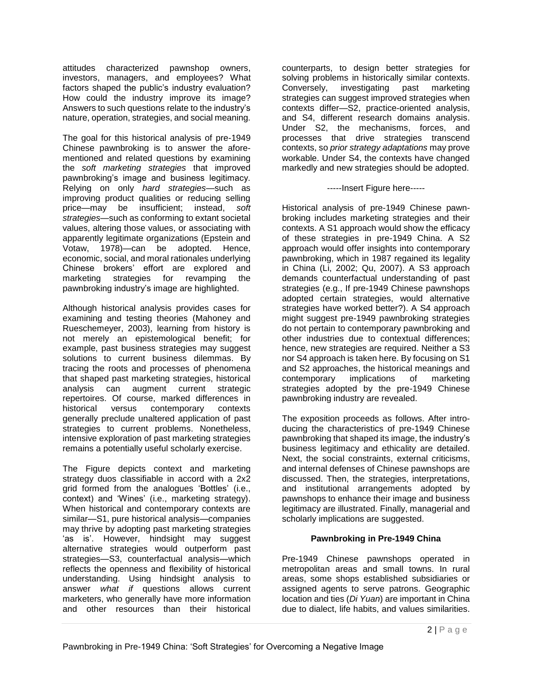attitudes characterized pawnshop owners, investors, managers, and employees? What factors shaped the public's industry evaluation? How could the industry improve its image? Answers to such questions relate to the industry's nature, operation, strategies, and social meaning.

The goal for this historical analysis of pre-1949 Chinese pawnbroking is to answer the aforementioned and related questions by examining the *soft marketing strategies* that improved pawnbroking's image and business legitimacy. Relying on only *hard strategies*—such as improving product qualities or reducing selling price—may be insufficient; instead, *soft strategies*—such as conforming to extant societal values, altering those values, or associating with apparently legitimate organizations (Epstein and Votaw, 1978)—can be adopted. Hence, economic, social, and moral rationales underlying Chinese brokers' effort are explored and marketing strategies for revamping the pawnbroking industry's image are highlighted.

Although historical analysis provides cases for examining and testing theories (Mahoney and Rueschemeyer, 2003), learning from history is not merely an epistemological benefit; for example, past business strategies may suggest solutions to current business dilemmas. By tracing the roots and processes of phenomena that shaped past marketing strategies, historical analysis can augment current strategic repertoires. Of course, marked differences in historical versus contemporary contexts generally preclude unaltered application of past strategies to current problems. Nonetheless, intensive exploration of past marketing strategies remains a potentially useful scholarly exercise.

The Figure depicts context and marketing strategy duos classifiable in accord with a 2x2 grid formed from the analogues 'Bottles' (i.e., context) and 'Wines' (i.e., marketing strategy). When historical and contemporary contexts are similar—S1, pure historical analysis—companies may thrive by adopting past marketing strategies 'as is'. However, hindsight may suggest alternative strategies would outperform past strategies—S3, counterfactual analysis—which reflects the openness and flexibility of historical understanding. Using hindsight analysis to answer *what if* questions allows current marketers, who generally have more information and other resources than their historical

counterparts, to design better strategies for solving problems in historically similar contexts. Conversely, investigating past marketing strategies can suggest improved strategies when contexts differ—S2, practice-oriented analysis, and S4, different research domains analysis. Under S2, the mechanisms, forces, and processes that drive strategies transcend contexts, so *prior strategy adaptations* may prove workable. Under S4, the contexts have changed markedly and new strategies should be adopted.

-----Insert Figure here-----

Historical analysis of pre-1949 Chinese pawnbroking includes marketing strategies and their contexts. A S1 approach would show the efficacy of these strategies in pre-1949 China. A S2 approach would offer insights into contemporary pawnbroking, which in 1987 regained its legality in China (Li, 2002; Qu, 2007). A S3 approach demands counterfactual understanding of past strategies (e.g., If pre-1949 Chinese pawnshops adopted certain strategies, would alternative strategies have worked better?). A S4 approach might suggest pre-1949 pawnbroking strategies do not pertain to contemporary pawnbroking and other industries due to contextual differences; hence, new strategies are required. Neither a S3 nor S4 approach is taken here. By focusing on S1 and S2 approaches, the historical meanings and<br>contemporary implications of marketing contemporary implications of marketing strategies adopted by the pre-1949 Chinese pawnbroking industry are revealed.

The exposition proceeds as follows. After introducing the characteristics of pre-1949 Chinese pawnbroking that shaped its image, the industry's business legitimacy and ethicality are detailed. Next, the social constraints, external criticisms, and internal defenses of Chinese pawnshops are discussed. Then, the strategies, interpretations, and institutional arrangements adopted by pawnshops to enhance their image and business legitimacy are illustrated. Finally, managerial and scholarly implications are suggested.

# **Pawnbroking in Pre-1949 China**

Pre-1949 Chinese pawnshops operated in metropolitan areas and small towns. In rural areas, some shops established subsidiaries or assigned agents to serve patrons. Geographic location and ties (*Di Yuan*) are important in China due to dialect, life habits, and values similarities.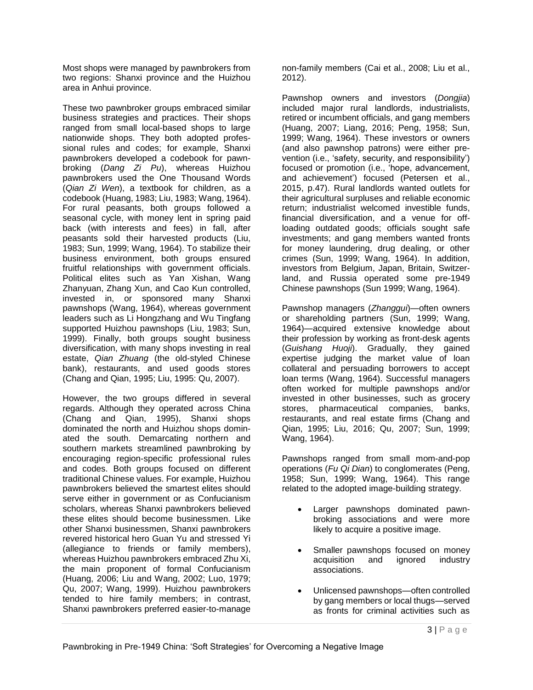Most shops were managed by pawnbrokers from two regions: Shanxi province and the Huizhou area in Anhui province.

These two pawnbroker groups embraced similar business strategies and practices. Their shops ranged from small local-based shops to large nationwide shops. They both adopted professional rules and codes; for example, Shanxi pawnbrokers developed a codebook for pawnbroking (*Dang Zi Pu*), whereas Huizhou pawnbrokers used the One Thousand Words (*Qian Zi Wen*), a textbook for children, as a codebook (Huang, 1983; Liu, 1983; Wang, 1964). For rural peasants, both groups followed a seasonal cycle, with money lent in spring paid back (with interests and fees) in fall, after peasants sold their harvested products (Liu, 1983; Sun, 1999; Wang, 1964). To stabilize their business environment, both groups ensured fruitful relationships with government officials. Political elites such as Yan Xishan, Wang Zhanyuan, Zhang Xun, and Cao Kun controlled, invested in, or sponsored many Shanxi pawnshops (Wang, 1964), whereas government leaders such as Li Hongzhang and Wu Tingfang supported Huizhou pawnshops (Liu, 1983; Sun, 1999). Finally, both groups sought business diversification, with many shops investing in real estate, *Qian Zhuang* (the old-styled Chinese bank), restaurants, and used goods stores (Chang and Qian, 1995; Liu, 1995: Qu, 2007).

However, the two groups differed in several regards. Although they operated across China (Chang and Qian, 1995), Shanxi shops dominated the north and Huizhou shops dominated the south. Demarcating northern and southern markets streamlined pawnbroking by encouraging region-specific professional rules and codes. Both groups focused on different traditional Chinese values. For example, Huizhou pawnbrokers believed the smartest elites should serve either in government or as Confucianism scholars, whereas Shanxi pawnbrokers believed these elites should become businessmen. Like other Shanxi businessmen, Shanxi pawnbrokers revered historical hero Guan Yu and stressed Yi (allegiance to friends or family members), whereas Huizhou pawnbrokers embraced Zhu Xi, the main proponent of formal Confucianism (Huang, 2006; Liu and Wang, 2002; Luo, 1979; Qu, 2007; Wang, 1999). Huizhou pawnbrokers tended to hire family members; in contrast, Shanxi pawnbrokers preferred easier-to-manage

non-family members (Cai et al., 2008; Liu et al., 2012).

Pawnshop owners and investors (*Dongjia*) included major rural landlords, industrialists, retired or incumbent officials, and gang members (Huang, 2007; Liang, 2016; Peng, 1958; Sun, 1999; Wang, 1964). These investors or owners (and also pawnshop patrons) were either prevention (i.e., 'safety, security, and responsibility') focused or promotion (i.e., 'hope, advancement, and achievement') focused (Petersen et al., 2015, p.47). Rural landlords wanted outlets for their agricultural surpluses and reliable economic return; industrialist welcomed investible funds, financial diversification, and a venue for offloading outdated goods; officials sought safe investments; and gang members wanted fronts for money laundering, drug dealing, or other crimes (Sun, 1999; Wang, 1964). In addition, investors from Belgium, Japan, Britain, Switzerland, and Russia operated some pre-1949 Chinese pawnshops (Sun 1999; Wang, 1964).

Pawnshop managers (*Zhanggui*)—often owners or shareholding partners (Sun, 1999; Wang, 1964)—acquired extensive knowledge about their profession by working as front-desk agents (*Guishang Huoji*). Gradually, they gained expertise judging the market value of loan collateral and persuading borrowers to accept loan terms (Wang, 1964). Successful managers often worked for multiple pawnshops and/or invested in other businesses, such as grocery stores, pharmaceutical companies, banks, restaurants, and real estate firms (Chang and Qian, 1995; Liu, 2016; Qu, 2007; Sun, 1999; Wang, 1964).

Pawnshops ranged from small mom-and-pop operations (*Fu Qi Dian*) to conglomerates (Peng, 1958; Sun, 1999; Wang, 1964). This range related to the adopted image-building strategy.

- Larger pawnshops dominated pawnbroking associations and were more likely to acquire a positive image.
- Smaller pawnshops focused on money acquisition and ignored industry associations.
- Unlicensed pawnshops—often controlled by gang members or local thugs—served as fronts for criminal activities such as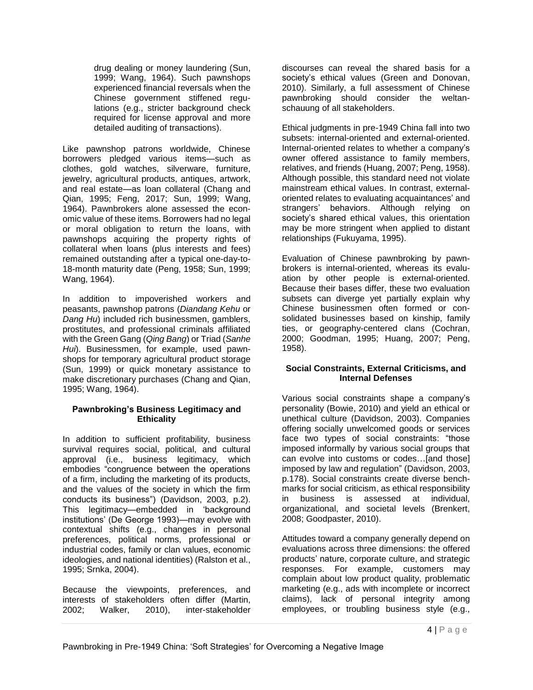drug dealing or money laundering (Sun, 1999; Wang, 1964). Such pawnshops experienced financial reversals when the Chinese government stiffened regulations (e.g., stricter background check required for license approval and more detailed auditing of transactions).

Like pawnshop patrons worldwide, Chinese borrowers pledged various items—such as clothes, gold watches, silverware, furniture, jewelry, agricultural products, antiques, artwork, and real estate—as loan collateral (Chang and Qian, 1995; Feng, 2017; Sun, 1999; Wang, 1964). Pawnbrokers alone assessed the economic value of these items. Borrowers had no legal or moral obligation to return the loans, with pawnshops acquiring the property rights of collateral when loans (plus interests and fees) remained outstanding after a typical one-day-to-18-month maturity date (Peng, 1958; Sun, 1999; Wang, 1964).

In addition to impoverished workers and peasants, pawnshop patrons (*Diandang Kehu* or *Dang Hu*) included rich businessmen, gamblers, prostitutes, and professional criminals affiliated with the Green Gang (*Qing Bang*) or Triad (*Sanhe Hui*). Businessmen, for example, used pawnshops for temporary agricultural product storage (Sun, 1999) or quick monetary assistance to make discretionary purchases (Chang and Qian, 1995; Wang, 1964).

#### **Pawnbroking's Business Legitimacy and Ethicality**

In addition to sufficient profitability, business survival requires social, political, and cultural approval (i.e., business legitimacy, which embodies "congruence between the operations of a firm, including the marketing of its products, and the values of the society in which the firm conducts its business") (Davidson, 2003, p.2). This legitimacy—embedded in 'background institutions' (De George 1993)—may evolve with contextual shifts (e.g., changes in personal preferences, political norms, professional or industrial codes, family or clan values, economic ideologies, and national identities) (Ralston et al., 1995; Srnka, 2004).

Because the viewpoints, preferences, and interests of stakeholders often differ (Martin, 2002; Walker, 2010), inter-stakeholder

discourses can reveal the shared basis for a society's ethical values (Green and Donovan, 2010). Similarly, a full assessment of Chinese pawnbroking should consider the weltanschauung of all stakeholders.

Ethical judgments in pre-1949 China fall into two subsets: internal-oriented and external-oriented. Internal-oriented relates to whether a company's owner offered assistance to family members, relatives, and friends (Huang, 2007; Peng, 1958). Although possible, this standard need not violate mainstream ethical values. In contrast, externaloriented relates to evaluating acquaintances' and strangers' behaviors. Although relying on society's shared ethical values, this orientation may be more stringent when applied to distant relationships (Fukuyama, 1995).

Evaluation of Chinese pawnbroking by pawnbrokers is internal-oriented, whereas its evaluation by other people is external-oriented. Because their bases differ, these two evaluation subsets can diverge yet partially explain why Chinese businessmen often formed or consolidated businesses based on kinship, family ties, or geography-centered clans (Cochran, 2000; Goodman, 1995; Huang, 2007; Peng, 1958).

# **Social Constraints, External Criticisms, and Internal Defenses**

Various social constraints shape a company's personality (Bowie, 2010) and yield an ethical or unethical culture (Davidson, 2003). Companies offering socially unwelcomed goods or services face two types of social constraints: "those imposed informally by various social groups that can evolve into customs or codes…[and those] imposed by law and regulation" (Davidson, 2003, p.178). Social constraints create diverse benchmarks for social criticism, as ethical responsibility in business is assessed at individual, organizational, and societal levels (Brenkert, 2008; Goodpaster, 2010).

Attitudes toward a company generally depend on evaluations across three dimensions: the offered products' nature, corporate culture, and strategic responses. For example, customers may complain about low product quality, problematic marketing (e.g., ads with incomplete or incorrect claims), lack of personal integrity among employees, or troubling business style (e.g.,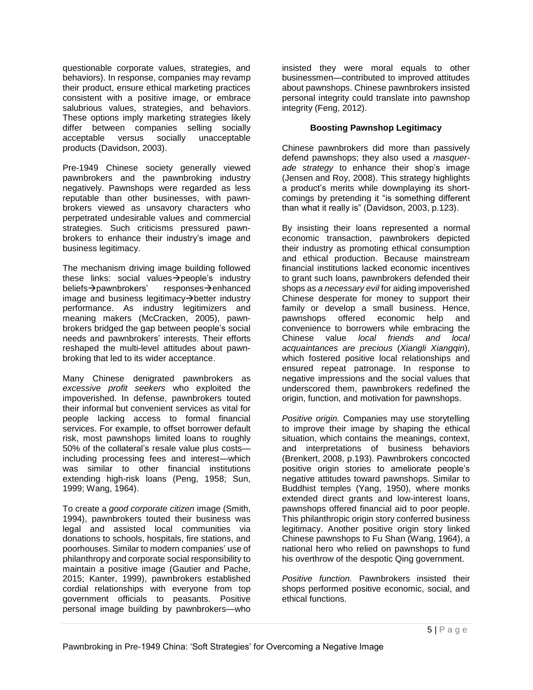questionable corporate values, strategies, and behaviors). In response, companies may revamp their product, ensure ethical marketing practices consistent with a positive image, or embrace salubrious values, strategies, and behaviors. These options imply marketing strategies likely differ between companies selling socially acceptable versus socially unacceptable products (Davidson, 2003).

Pre-1949 Chinese society generally viewed pawnbrokers and the pawnbroking industry negatively. Pawnshops were regarded as less reputable than other businesses, with pawnbrokers viewed as unsavory characters who perpetrated undesirable values and commercial strategies. Such criticisms pressured pawnbrokers to enhance their industry's image and business legitimacy.

The mechanism driving image building followed these links: social values  $\rightarrow$  people's industry beliefs->pawnbrokers' responses->enhanced image and business legitimacy $\rightarrow$ better industry performance. As industry legitimizers and meaning makers (McCracken, 2005), pawnbrokers bridged the gap between people's social needs and pawnbrokers' interests. Their efforts reshaped the multi-level attitudes about pawnbroking that led to its wider acceptance.

Many Chinese denigrated pawnbrokers as *excessive profit seekers* who exploited the impoverished. In defense, pawnbrokers touted their informal but convenient services as vital for people lacking access to formal financial services. For example, to offset borrower default risk, most pawnshops limited loans to roughly 50% of the collateral's resale value plus costs including processing fees and interest—which was similar to other financial institutions extending high-risk loans (Peng, 1958; Sun, 1999; Wang, 1964).

To create a *good corporate citizen* image (Smith, 1994), pawnbrokers touted their business was legal and assisted local communities via donations to schools, hospitals, fire stations, and poorhouses. Similar to modern companies' use of philanthropy and corporate social responsibility to maintain a positive image (Gautier and Pache, 2015; Kanter, 1999), pawnbrokers established cordial relationships with everyone from top government officials to peasants. Positive personal image building by pawnbrokers—who

insisted they were moral equals to other businessmen—contributed to improved attitudes about pawnshops. Chinese pawnbrokers insisted personal integrity could translate into pawnshop integrity (Feng, 2012).

# **Boosting Pawnshop Legitimacy**

Chinese pawnbrokers did more than passively defend pawnshops; they also used a *masquerade strategy* to enhance their shop's image (Jensen and Roy, 2008). This strategy highlights a product's merits while downplaying its shortcomings by pretending it "is something different than what it really is" (Davidson, 2003, p.123).

By insisting their loans represented a normal economic transaction, pawnbrokers depicted their industry as promoting ethical consumption and ethical production. Because mainstream financial institutions lacked economic incentives to grant such loans, pawnbrokers defended their shops as *a necessary evil* for aiding impoverished Chinese desperate for money to support their family or develop a small business. Hence, pawnshops offered economic help and convenience to borrowers while embracing the Chinese value *local friends and local acquaintances are precious* (*Xiangli Xiangqin*), which fostered positive local relationships and ensured repeat patronage. In response to negative impressions and the social values that underscored them, pawnbrokers redefined the origin, function, and motivation for pawnshops.

*Positive origin.* Companies may use storytelling to improve their image by shaping the ethical situation, which contains the meanings, context, and interpretations of business behaviors (Brenkert, 2008, p.193). Pawnbrokers concocted positive origin stories to ameliorate people's negative attitudes toward pawnshops. Similar to Buddhist temples (Yang, 1950), where monks extended direct grants and low-interest loans, pawnshops offered financial aid to poor people. This philanthropic origin story conferred business legitimacy. Another positive origin story linked Chinese pawnshops to Fu Shan (Wang, 1964), a national hero who relied on pawnshops to fund his overthrow of the despotic Qing government.

*Positive function.* Pawnbrokers insisted their shops performed positive economic, social, and ethical functions.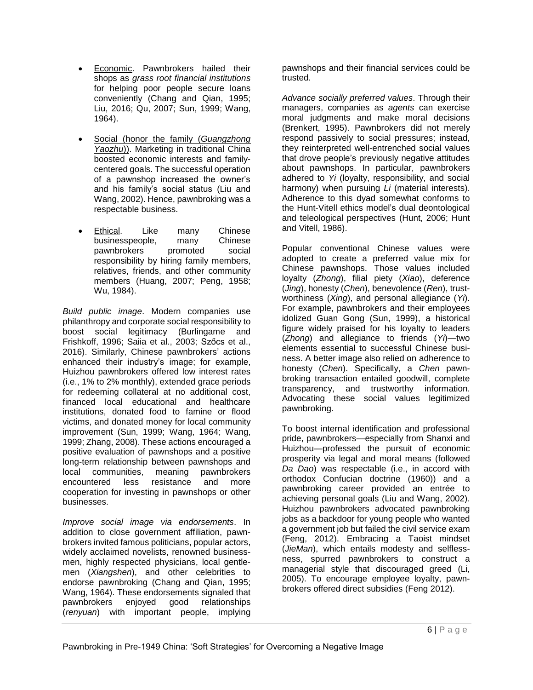- Economic. Pawnbrokers hailed their shops as *grass root financial institutions* for helping poor people secure loans conveniently (Chang and Qian, 1995; Liu, 2016; Qu, 2007; Sun, 1999; Wang, 1964).
- Social (honor the family (*Guangzhong Yaozhu*)). Marketing in traditional China boosted economic interests and familycentered goals. The successful operation of a pawnshop increased the owner's and his family's social status (Liu and Wang, 2002). Hence, pawnbroking was a respectable business.
- Ethical. Like many Chinese<br>businesspeople, many Chinese businesspeople, many pawnbrokers promoted social responsibility by hiring family members, relatives, friends, and other community members (Huang, 2007; Peng, 1958; Wu, 1984).

*Build public image*. Modern companies use philanthropy and corporate social responsibility to boost social legitimacy (Burlingame and Frishkoff, 1996; Saiia et al., 2003; Szőcs et al., 2016). Similarly, Chinese pawnbrokers' actions enhanced their industry's image; for example, Huizhou pawnbrokers offered low interest rates (i.e., 1% to 2% monthly), extended grace periods for redeeming collateral at no additional cost, financed local educational and healthcare institutions, donated food to famine or flood victims, and donated money for local community improvement (Sun, 1999; Wang, 1964; Wang, 1999; Zhang, 2008). These actions encouraged a positive evaluation of pawnshops and a positive long-term relationship between pawnshops and local communities, meaning pawnbrokers encountered less resistance and more cooperation for investing in pawnshops or other businesses.

*Improve social image via endorsements*. In addition to close government affiliation, pawnbrokers invited famous politicians, popular actors, widely acclaimed novelists, renowned businessmen, highly respected physicians, local gentlemen (*Xiangshen*), and other celebrities to endorse pawnbroking (Chang and Qian, 1995; Wang, 1964). These endorsements signaled that pawnbrokers enjoyed good relationships (*renyuan*) with important people, implying

pawnshops and their financial services could be trusted.

*Advance socially preferred values*. Through their managers, companies as *agents* can exercise moral judgments and make moral decisions (Brenkert, 1995). Pawnbrokers did not merely respond passively to social pressures; instead, they reinterpreted well-entrenched social values that drove people's previously negative attitudes about pawnshops. In particular, pawnbrokers adhered to *Yi* (loyalty, responsibility, and social harmony) when pursuing *Li* (material interests). Adherence to this dyad somewhat conforms to the Hunt-Vitell ethics model's dual deontological and teleological perspectives (Hunt, 2006; Hunt and Vitell, 1986).

Popular conventional Chinese values were adopted to create a preferred value mix for Chinese pawnshops. Those values included loyalty (*Zhong*), filial piety (*Xiao*), deference (*Jing*), honesty (*Chen*), benevolence (*Ren*), trustworthiness (*Xing*), and personal allegiance (*Yi*). For example, pawnbrokers and their employees idolized Guan Gong (Sun, 1999), a historical figure widely praised for his loyalty to leaders (*Zhong*) and allegiance to friends (*Yi*)—two elements essential to successful Chinese business. A better image also relied on adherence to honesty (*Chen*). Specifically, a *Chen* pawnbroking transaction entailed goodwill, complete transparency, and trustworthy information. Advocating these social values legitimized pawnbroking.

To boost internal identification and professional pride, pawnbrokers—especially from Shanxi and Huizhou—professed the pursuit of economic prosperity via legal and moral means (followed *Da Dao*) was respectable (i.e., in accord with orthodox Confucian doctrine (1960)) and a pawnbroking career provided an entrée to achieving personal goals (Liu and Wang, 2002). Huizhou pawnbrokers advocated pawnbroking jobs as a backdoor for young people who wanted a government job but failed the civil service exam (Feng, 2012). Embracing a Taoist mindset (*JieMan*), which entails modesty and selflessness, spurred pawnbrokers to construct a managerial style that discouraged greed (Li, 2005). To encourage employee loyalty, pawnbrokers offered direct subsidies (Feng 2012).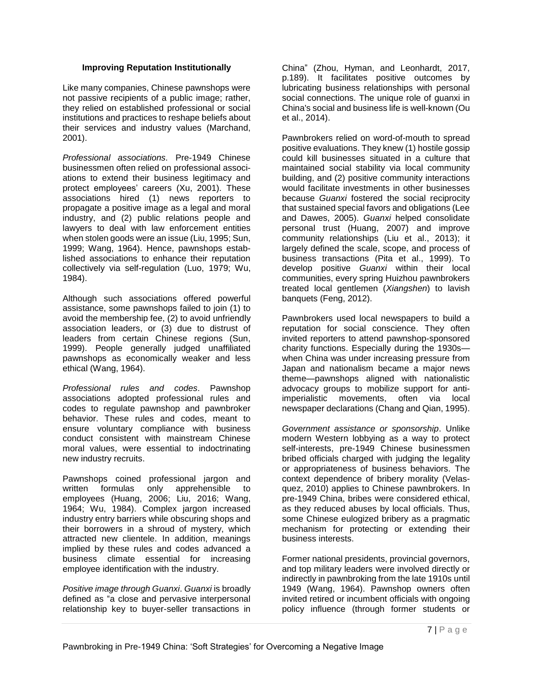#### **Improving Reputation Institutionally**

Like many companies, Chinese pawnshops were not passive recipients of a public image; rather, they relied on established professional or social institutions and practices to reshape beliefs about their services and industry values (Marchand, 2001).

*Professional associations.* Pre-1949 Chinese businessmen often relied on professional associations to extend their business legitimacy and protect employees' careers (Xu, 2001). These associations hired (1) news reporters to propagate a positive image as a legal and moral industry, and (2) public relations people and lawyers to deal with law enforcement entities when stolen goods were an issue (Liu, 1995; Sun, 1999; Wang, 1964). Hence, pawnshops established associations to enhance their reputation collectively via self-regulation (Luo, 1979; Wu, 1984).

Although such associations offered powerful assistance, some pawnshops failed to join (1) to avoid the membership fee, (2) to avoid unfriendly association leaders, or (3) due to distrust of leaders from certain Chinese regions (Sun, 1999). People generally judged unaffiliated pawnshops as economically weaker and less ethical (Wang, 1964).

*Professional rules and codes*. Pawnshop associations adopted professional rules and codes to regulate pawnshop and pawnbroker behavior. These rules and codes, meant to ensure voluntary compliance with business conduct consistent with mainstream Chinese moral values, were essential to indoctrinating new industry recruits.

Pawnshops coined professional jargon and written formulas only apprehensible to employees (Huang, 2006; Liu, 2016; Wang, 1964; Wu, 1984). Complex jargon increased industry entry barriers while obscuring shops and their borrowers in a shroud of mystery, which attracted new clientele. In addition, meanings implied by these rules and codes advanced a business climate essential for increasing employee identification with the industry.

*Positive image through Guanxi*. *Guanxi* is broadly defined as "a close and pervasive interpersonal relationship key to buyer-seller transactions in China" (Zhou, Hyman, and Leonhardt, 2017, p.189). It facilitates positive outcomes by lubricating business relationships with personal social connections. The unique role of guanxi in China's social and business life is well-known (Ou et al., 2014).

Pawnbrokers relied on word-of-mouth to spread positive evaluations. They knew (1) hostile gossip could kill businesses situated in a culture that maintained social stability via local community building, and (2) positive community interactions would facilitate investments in other businesses because *Guanxi* fostered the social reciprocity that sustained special favors and obligations (Lee and Dawes, 2005). *Guanxi* helped consolidate personal trust (Huang, 2007) and improve community relationships (Liu et al., 2013); it largely defined the scale, scope, and process of business transactions (Pita et al., 1999). To develop positive *Guanxi* within their local communities, every spring Huizhou pawnbrokers treated local gentlemen (*Xiangshen*) to lavish banquets (Feng, 2012).

Pawnbrokers used local newspapers to build a reputation for social conscience. They often invited reporters to attend pawnshop-sponsored charity functions. Especially during the 1930s when China was under increasing pressure from Japan and nationalism became a major news theme—pawnshops aligned with nationalistic advocacy groups to mobilize support for antiimperialistic movements, often via local newspaper declarations (Chang and Qian, 1995).

*Government assistance or sponsorship*. Unlike modern Western lobbying as a way to protect self-interests, pre-1949 Chinese businessmen bribed officials charged with judging the legality or appropriateness of business behaviors. The context dependence of bribery morality (Velasquez, 2010) applies to Chinese pawnbrokers. In pre-1949 China, bribes were considered ethical, as they reduced abuses by local officials. Thus, some Chinese eulogized bribery as a pragmatic mechanism for protecting or extending their business interests.

Former national presidents, provincial governors, and top military leaders were involved directly or indirectly in pawnbroking from the late 1910s until 1949 (Wang, 1964). Pawnshop owners often invited retired or incumbent officials with ongoing policy influence (through former students or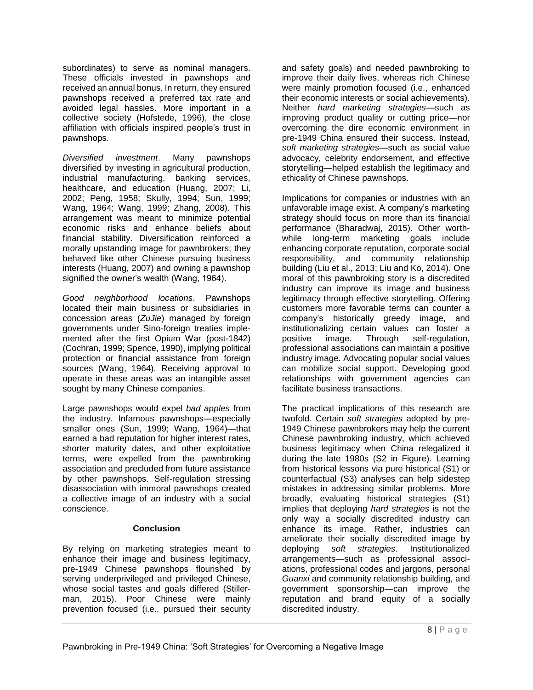subordinates) to serve as nominal managers. These officials invested in pawnshops and received an annual bonus. In return, they ensured pawnshops received a preferred tax rate and avoided legal hassles. More important in a collective society (Hofstede, 1996), the close affiliation with officials inspired people's trust in pawnshops.

*Diversified investment*. Many pawnshops diversified by investing in agricultural production, industrial manufacturing, banking services, healthcare, and education (Huang, 2007; Li, 2002; Peng, 1958; Skully, 1994; Sun, 1999; Wang, 1964; Wang, 1999; Zhang, 2008). This arrangement was meant to minimize potential economic risks and enhance beliefs about financial stability. Diversification reinforced a morally upstanding image for pawnbrokers; they behaved like other Chinese pursuing business interests (Huang, 2007) and owning a pawnshop signified the owner's wealth (Wang, 1964).

*Good neighborhood locations*. Pawnshops located their main business or subsidiaries in concession areas (*ZuJie*) managed by foreign governments under Sino-foreign treaties implemented after the first Opium War (post-1842) (Cochran, 1999; Spence, 1990), implying political protection or financial assistance from foreign sources (Wang, 1964). Receiving approval to operate in these areas was an intangible asset sought by many Chinese companies.

Large pawnshops would expel *bad apples* from the industry. Infamous pawnshops—especially smaller ones (Sun, 1999; Wang, 1964)—that earned a bad reputation for higher interest rates, shorter maturity dates, and other exploitative terms, were expelled from the pawnbroking association and precluded from future assistance by other pawnshops. Self-regulation stressing disassociation with immoral pawnshops created a collective image of an industry with a social conscience.

#### **Conclusion**

By relying on marketing strategies meant to enhance their image and business legitimacy, pre-1949 Chinese pawnshops flourished by serving underprivileged and privileged Chinese, whose social tastes and goals differed (Stillerman, 2015). Poor Chinese were mainly prevention focused (i.e., pursued their security

and safety goals) and needed pawnbroking to improve their daily lives, whereas rich Chinese were mainly promotion focused (i.e., enhanced their economic interests or social achievements). Neither *hard marketing strategies*—such as improving product quality or cutting price—nor overcoming the dire economic environment in pre-1949 China ensured their success. Instead, *soft marketing strategies*—such as social value advocacy, celebrity endorsement, and effective storytelling—helped establish the legitimacy and ethicality of Chinese pawnshops.

Implications for companies or industries with an unfavorable image exist. A company's marketing strategy should focus on more than its financial performance (Bharadwaj, 2015). Other worthwhile long-term marketing goals include enhancing corporate reputation, corporate social responsibility, and community relationship building (Liu et al., 2013; Liu and Ko, 2014). One moral of this pawnbroking story is a discredited industry can improve its image and business legitimacy through effective storytelling. Offering customers more favorable terms can counter a company's historically greedy image, and institutionalizing certain values can foster a positive image. Through self-regulation, professional associations can maintain a positive industry image. Advocating popular social values can mobilize social support. Developing good relationships with government agencies can facilitate business transactions.

The practical implications of this research are twofold. Certain *soft strategies* adopted by pre-1949 Chinese pawnbrokers may help the current Chinese pawnbroking industry, which achieved business legitimacy when China relegalized it during the late 1980s (S2 in Figure). Learning from historical lessons via pure historical (S1) or counterfactual (S3) analyses can help sidestep mistakes in addressing similar problems. More broadly, evaluating historical strategies (S1) implies that deploying *hard strategies* is not the only way a socially discredited industry can enhance its image. Rather, industries can ameliorate their socially discredited image by deploying *soft strategies*. Institutionalized arrangements—such as professional associations, professional codes and jargons, personal *Guanxi* and community relationship building, and government sponsorship—can improve the reputation and brand equity of a socially discredited industry.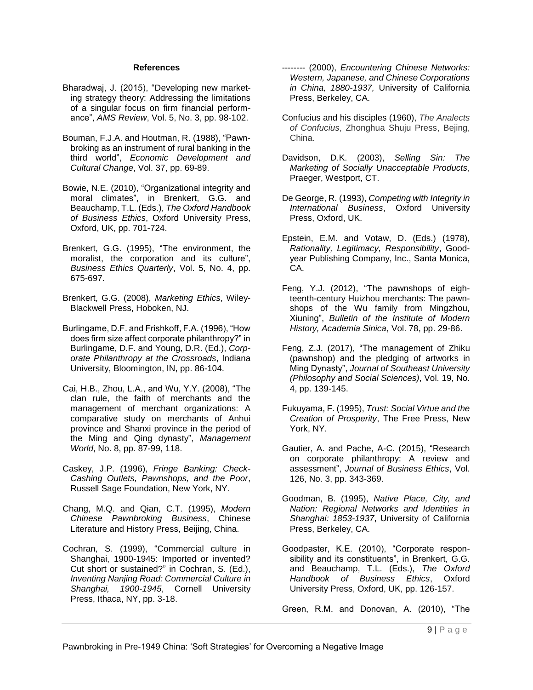#### **References**

- Bharadwaj, J. (2015), "Developing new marketing strategy theory: Addressing the limitations of a singular focus on firm financial performance", *AMS Review*, Vol. 5, No. 3, pp. 98-102.
- Bouman, F.J.A. and Houtman, R. (1988), "Pawnbroking as an instrument of rural banking in the third world", *Economic Development and Cultural Change*, Vol. 37, pp. 69-89.
- Bowie, N.E. (2010), "Organizational integrity and moral climates", in Brenkert, G.G. and Beauchamp, T.L. (Eds.), *The Oxford Handbook of Business Ethics*, Oxford University Press, Oxford, UK, pp. 701-724.
- Brenkert, G.G. (1995), "The environment, the moralist, the corporation and its culture", *Business Ethics Quarterly*, Vol. 5, No. 4, pp. 675-697.
- Brenkert, G.G. (2008), *Marketing Ethics*, Wiley-Blackwell Press, Hoboken, NJ.
- Burlingame, D.F. and Frishkoff, F.A. (1996), "How does firm size affect corporate philanthropy?" in Burlingame, D.F. and Young, D.R. (Ed.), *Corporate Philanthropy at the Crossroads*, Indiana University, Bloomington, IN, pp. 86-104.
- Cai, H.B., Zhou, L.A., and Wu, Y.Y. (2008), "The clan rule, the faith of merchants and the management of merchant organizations: A comparative study on merchants of Anhui province and Shanxi province in the period of the Ming and Qing dynasty", *Management World*, No. 8, pp. 87-99, 118.
- Caskey, J.P. (1996), *Fringe Banking: Check-Cashing Outlets, Pawnshops, and the Poor*, Russell Sage Foundation, New York, NY.
- Chang, M.Q. and Qian, C.T. (1995), *Modern Chinese Pawnbroking Business*, Chinese Literature and History Press, Beijing, China.
- Cochran, S. (1999), "Commercial culture in Shanghai, 1900-1945: Imported or invented? Cut short or sustained?" in Cochran, S. (Ed.), *Inventing Nanjing Road: Commercial Culture in Shanghai, 1900-1945*, Cornell University Press, Ithaca, NY, pp. 3-18.
- -------- (2000), *Encountering Chinese Networks: Western, Japanese, and Chinese Corporations in China, 1880-1937,* University of California Press, Berkeley, CA.
- Confucius and his disciples (1960), *The Analects of Confucius*, Zhonghua Shuju Press, Bejing, China.
- Davidson, D.K. (2003), *Selling Sin: The Marketing of Socially Unacceptable Products*, Praeger, Westport, CT.
- De George, R. (1993), *Competing with Integrity in International Business*, Oxford University Press, Oxford, UK.
- Epstein, E.M. and Votaw, D. (Eds.) (1978), *Rationality, Legitimacy, Responsibility*, Goodyear Publishing Company, Inc., Santa Monica, CA.
- Feng, Y.J. (2012), "The pawnshops of eighteenth-century Huizhou merchants: The pawnshops of the Wu family from Mingzhou, Xiuning", *Bulletin of the Institute of Modern History, Academia Sinica*, Vol. 78, pp. 29-86.
- Feng, Z.J. (2017), "The management of Zhiku (pawnshop) and the pledging of artworks in Ming Dynasty", *Journal of Southeast University (Philosophy and Social Sciences)*, Vol. 19, No. 4, pp. 139-145.
- Fukuyama, F. (1995), *Trust: Social Virtue and the Creation of Prosperity*, The Free Press, New York, NY.
- Gautier, A. and Pache, A-C. (2015), "Research on corporate philanthropy: A review and assessment", *Journal of Business Ethics*, Vol. 126, No. 3, pp. 343-369.
- Goodman, B. (1995), *Native Place, City, and Nation: Regional Networks and Identities in Shanghai: 1853-1937*, University of California Press, Berkeley, CA.
- Goodpaster, K.E. (2010), "Corporate responsibility and its constituents", in Brenkert, G.G. and Beauchamp, T.L. (Eds.), *The Oxford Handbook of Business Ethics*, Oxford University Press, Oxford, UK, pp. 126-157.

Green, R.M. and Donovan, A. (2010), "The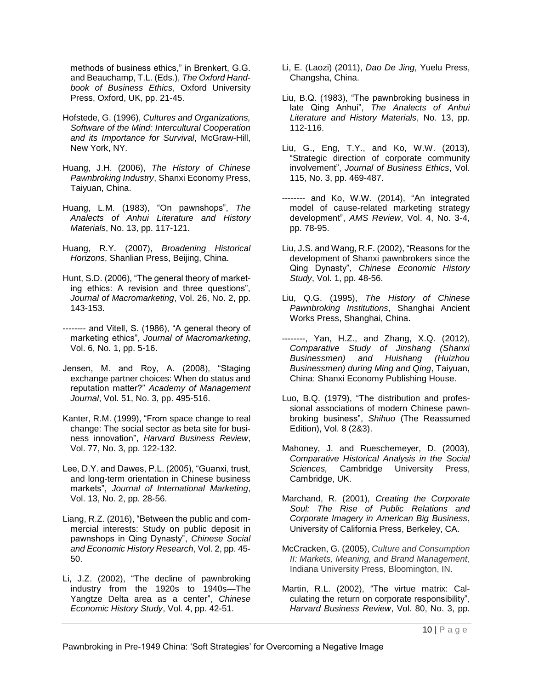methods of business ethics," in Brenkert, G.G. and Beauchamp, T.L. (Eds.), *The Oxford Handbook of Business Ethics*, Oxford University Press, Oxford, UK, pp. 21-45.

- Hofstede, G. (1996), *Cultures and Organizations, Software of the Mind: Intercultural Cooperation and its Importance for Survival*, McGraw-Hill, New York, NY.
- Huang, J.H. (2006), *The History of Chinese Pawnbroking Industry*, Shanxi Economy Press, Taiyuan, China.
- Huang, L.M. (1983), "On pawnshops", *The Analects of Anhui Literature and History Materials*, No. 13, pp. 117-121.
- Huang, R.Y. (2007), *Broadening Historical Horizons*, Shanlian Press, Beijing, China.
- Hunt, S.D. (2006), "The general theory of marketing ethics: A revision and three questions", *Journal of Macromarketing*, Vol. 26, No. 2, pp. 143-153.
- -------- and Vitell, S. (1986), "A general theory of marketing ethics", *Journal of Macromarketing*, Vol. 6, No. 1, pp. 5-16.
- Jensen, M. and Roy, A. (2008), "Staging exchange partner choices: When do status and reputation matter?" *Academy of Management Journal*, Vol. 51, No. 3, pp. 495-516.
- Kanter, R.M. (1999), "From space change to real change: The social sector as beta site for business innovation", *Harvard Business Review*, Vol. 77, No. 3, pp. 122-132.
- Lee, D.Y. and Dawes, P.L. (2005), "Guanxi, trust, and long-term orientation in Chinese business markets", *Journal of International Marketing*, Vol. 13, No. 2, pp. 28-56.
- Liang, R.Z. (2016), "Between the public and commercial interests: Study on public deposit in pawnshops in Qing Dynasty", *Chinese Social and Economic History Research*, Vol. 2, pp. 45- 50.
- Li, J.Z. (2002), "The decline of pawnbroking industry from the 1920s to 1940s—The Yangtze Delta area as a center", *Chinese Economic History Study*, Vol. 4, pp. 42-51.
- Li, E. (Laozi) (2011), *Dao De Jing*, Yuelu Press, Changsha, China.
- Liu, B.Q. (1983), "The pawnbroking business in late Qing Anhui", *The Analects of Anhui Literature and History Materials*, No. 13, pp. 112-116.
- Liu, G., Eng, T.Y., and Ko, W.W. (2013), "Strategic direction of corporate community involvement", *Journal of Business Ethics*, Vol. 115, No. 3, pp. 469-487.
- -------- and Ko, W.W. (2014), "An integrated model of cause-related marketing strategy development", *AMS Review*, Vol. 4, No. 3-4, pp. 78-95.
- Liu, J.S. and Wang, R.F. (2002), "Reasons for the development of Shanxi pawnbrokers since the Qing Dynasty", *Chinese Economic History Study*, Vol. 1, pp. 48-56.
- Liu, Q.G. (1995), *The History of Chinese Pawnbroking Institutions*, Shanghai Ancient Works Press, Shanghai, China.
- --------, Yan, H.Z., and Zhang, X.Q. (2012), *Comparative Study of Jinshang (Shanxi Businessmen) and Huishang (Huizhou Businessmen) during Ming and Qing*, Taiyuan, China: Shanxi Economy Publishing House.
- Luo, B.Q. (1979), "The distribution and professional associations of modern Chinese pawnbroking business", *Shihuo* (The Reassumed Edition), Vol. 8 (2&3).
- Mahoney, J. and Rueschemeyer, D. (2003), *Comparative Historical Analysis in the Social Sciences,* Cambridge University Press, Cambridge, UK.
- Marchand, R. (2001), *Creating the Corporate Soul: The Rise of Public Relations and Corporate Imagery in American Big Business*, University of California Press, Berkeley, CA.
- McCracken, G. (2005), *Culture and Consumption II: Markets, Meaning, and Brand Management*, Indiana University Press, Bloomington, IN.
- Martin, R.L. (2002), "The virtue matrix: Calculating the return on corporate responsibility", *Harvard Business Review*, Vol. 80, No. 3, pp.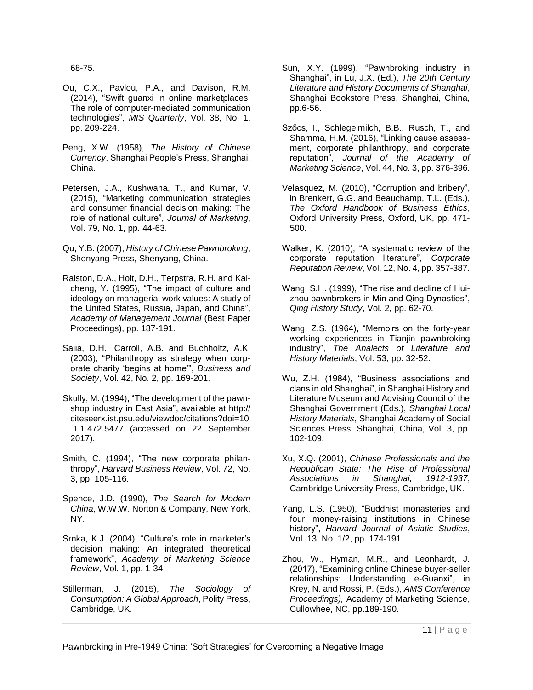68-75.

- Ou, C.X., Pavlou, P.A., and Davison, R.M. (2014), "Swift guanxi in online marketplaces: The role of computer-mediated communication technologies", *MIS Quarterly*, Vol. 38, No. 1, pp. 209-224.
- Peng, X.W. (1958), *The History of Chinese Currency*, Shanghai People's Press, Shanghai, China.
- Petersen, J.A., Kushwaha, T., and Kumar, V. (2015), "Marketing communication strategies and consumer financial decision making: The role of national culture", *Journal of Marketing*, Vol. 79, No. 1, pp. 44-63.
- Qu, Y.B. (2007), *History of Chinese Pawnbroking*, Shenyang Press, Shenyang, China.
- Ralston, D.A., Holt, D.H., Terpstra, R.H. and Kaicheng, Y. (1995), "The impact of culture and ideology on managerial work values: A study of the United States, Russia, Japan, and China", *Academy of Management Journal* (Best Paper Proceedings), pp. 187-191.
- Saiia, D.H., Carroll, A.B. and Buchholtz, A.K. (2003), "Philanthropy as strategy when corporate charity 'begins at home'", *Business and Society*, Vol. 42, No. 2, pp. 169-201.
- Skully, M. (1994), "The development of the pawnshop industry in East Asia", available at [http://](http://citeseerx.ist.psu.edu/viewdoc/citations?doi=10.1.1.472.5477) [citeseerx.ist.psu.edu/viewdoc/citations?doi=10](http://citeseerx.ist.psu.edu/viewdoc/citations?doi=10.1.1.472.5477) [.1.1.472.5477](http://citeseerx.ist.psu.edu/viewdoc/citations?doi=10.1.1.472.5477) (accessed on 22 September 2017).
- Smith, C. (1994), "The new corporate philanthropy", *Harvard Business Review*, Vol. 72, No. 3, pp. 105-116.
- Spence, J.D. (1990), *The Search for Modern China*, W.W.W. Norton & Company, New York, NY.
- Srnka, K.J. (2004), "Culture's role in marketer's decision making: An integrated theoretical framework", *Academy of Marketing Science Review*, Vol. 1, pp. 1-34.
- Stillerman, J. (2015), *The Sociology of Consumption: A Global Approach*, Polity Press, Cambridge, UK.
- Sun, X.Y. (1999), "Pawnbroking industry in Shanghai", in Lu, J.X. (Ed.), *The 20th Century Literature and History Documents of Shanghai*, Shanghai Bookstore Press, Shanghai, China, pp.6-56.
- Szőcs, I., Schlegelmilch, B.B., Rusch, T., and Shamma, H.M. (2016), "Linking cause assessment, corporate philanthropy, and corporate reputation", *Journal of the Academy of Marketing Science*, Vol. 44, No. 3, pp. 376-396.
- Velasquez, M. (2010), "Corruption and bribery", in Brenkert, G.G. and Beauchamp, T.L. (Eds.), *The Oxford Handbook of Business Ethics*, Oxford University Press, Oxford, UK, pp. 471- 500.
- Walker, K. (2010), "A systematic review of the corporate reputation literature", *Corporate Reputation Review*, Vol. 12, No. 4, pp. 357-387.
- Wang, S.H. (1999), "The rise and decline of Huizhou pawnbrokers in Min and Qing Dynasties", *Qing History Study*, Vol. 2, pp. 62-70.
- Wang, Z.S. (1964), "Memoirs on the forty-year working experiences in Tianjin pawnbroking industry", *The Analects of Literature and History Materials*, Vol. 53, pp. 32-52.
- Wu, Z.H. (1984), "Business associations and clans in old Shanghai", in Shanghai History and Literature Museum and Advising Council of the Shanghai Government (Eds.), *Shanghai Local History Materials*, Shanghai Academy of Social Sciences Press, Shanghai, China, Vol. 3, pp. 102-109.
- Xu, X.Q. (2001), *Chinese Professionals and the Republican State: The Rise of Professional Associations in Shanghai, 1912-1937*, Cambridge University Press, Cambridge, UK.
- Yang, L.S. (1950), "Buddhist monasteries and four money-raising institutions in Chinese history", *Harvard Journal of Asiatic Studies*, Vol. 13, No. 1/2, pp. 174-191.
- Zhou, W., Hyman, M.R., and Leonhardt, J. (2017), "Examining online Chinese buyer-seller relationships: Understanding e-Guanxi", in Krey, N. and Rossi, P. (Eds.), *AMS Conference Proceedings),* Academy of Marketing Science, Cullowhee, NC, pp.189-190.